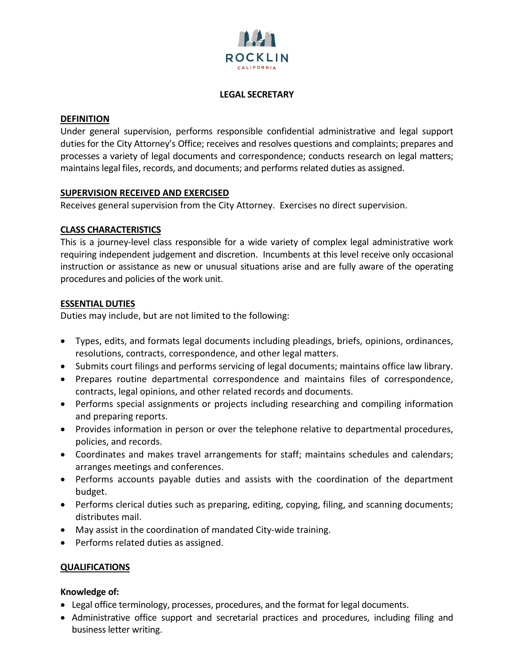

## **LEGAL SECRETARY**

#### **DEFINITION**

Under general supervision, performs responsible confidential administrative and legal support duties for the City Attorney's Office; receives and resolves questions and complaints; prepares and processes a variety of legal documents and correspondence; conducts research on legal matters; maintains legal files, records, and documents; and performs related duties as assigned.

## **SUPERVISION RECEIVED AND EXERCISED**

Receives general supervision from the City Attorney. Exercises no direct supervision.

## **CLASS CHARACTERISTICS**

This is a journey-level class responsible for a wide variety of complex legal administrative work requiring independent judgement and discretion. Incumbents at this level receive only occasional instruction or assistance as new or unusual situations arise and are fully aware of the operating procedures and policies of the work unit.

#### **ESSENTIAL DUTIES**

Duties may include, but are not limited to the following:

- Types, edits, and formats legal documents including pleadings, briefs, opinions, ordinances, resolutions, contracts, correspondence, and other legal matters.
- Submits court filings and performs servicing of legal documents; maintains office law library.
- Prepares routine departmental correspondence and maintains files of correspondence, contracts, legal opinions, and other related records and documents.
- Performs special assignments or projects including researching and compiling information and preparing reports.
- Provides information in person or over the telephone relative to departmental procedures, policies, and records.
- Coordinates and makes travel arrangements for staff; maintains schedules and calendars; arranges meetings and conferences.
- Performs accounts payable duties and assists with the coordination of the department budget.
- Performs clerical duties such as preparing, editing, copying, filing, and scanning documents; distributes mail.
- May assist in the coordination of mandated City-wide training.
- Performs related duties as assigned.

## **QUALIFICATIONS**

## **Knowledge of:**

- Legal office terminology, processes, procedures, and the format for legal documents.
- Administrative office support and secretarial practices and procedures, including filing and business letter writing.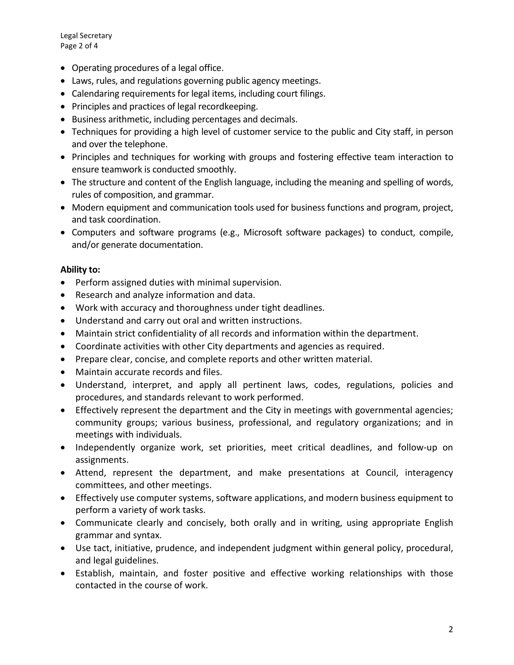Legal Secretary Page 2 of 4

- Operating procedures of a legal office.
- Laws, rules, and regulations governing public agency meetings.
- Calendaring requirements for legal items, including court filings.
- Principles and practices of legal recordkeeping.
- Business arithmetic, including percentages and decimals.
- Techniques for providing a high level of customer service to the public and City staff, in person and over the telephone.
- Principles and techniques for working with groups and fostering effective team interaction to ensure teamwork is conducted smoothly.
- The structure and content of the English language, including the meaning and spelling of words, rules of composition, and grammar.
- Modern equipment and communication tools used for business functions and program, project, and task coordination.
- Computers and software programs (e.g., Microsoft software packages) to conduct, compile, and/or generate documentation.

## **Ability to:**

- Perform assigned duties with minimal supervision.
- Research and analyze information and data.
- Work with accuracy and thoroughness under tight deadlines.
- Understand and carry out oral and written instructions.
- Maintain strict confidentiality of all records and information within the department.
- Coordinate activities with other City departments and agencies as required.
- Prepare clear, concise, and complete reports and other written material.
- Maintain accurate records and files.
- Understand, interpret, and apply all pertinent laws, codes, regulations, policies and procedures, and standards relevant to work performed.
- Effectively represent the department and the City in meetings with governmental agencies; community groups; various business, professional, and regulatory organizations; and in meetings with individuals.
- Independently organize work, set priorities, meet critical deadlines, and follow-up on assignments.
- Attend, represent the department, and make presentations at Council, interagency committees, and other meetings.
- Effectively use computer systems, software applications, and modern business equipment to perform a variety of work tasks.
- Communicate clearly and concisely, both orally and in writing, using appropriate English grammar and syntax.
- Use tact, initiative, prudence, and independent judgment within general policy, procedural, and legal guidelines.
- Establish, maintain, and foster positive and effective working relationships with those contacted in the course of work.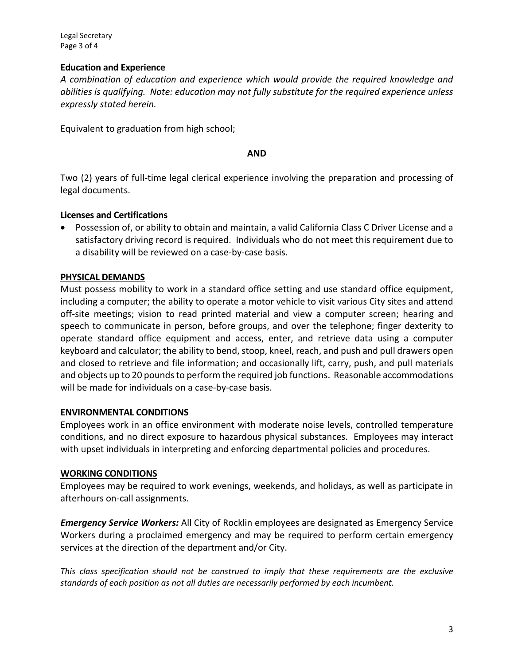Legal Secretary Page 3 of 4

# **Education and Experience**

*A combination of education and experience which would provide the required knowledge and abilities is qualifying. Note: education may not fully substitute for the required experience unless expressly stated herein.*

Equivalent to graduation from high school;

#### **AND**

Two (2) years of full-time legal clerical experience involving the preparation and processing of legal documents.

# **Licenses and Certifications**

• Possession of, or ability to obtain and maintain, a valid California Class C Driver License and a satisfactory driving record is required. Individuals who do not meet this requirement due to a disability will be reviewed on a case-by-case basis.

# **PHYSICAL DEMANDS**

Must possess mobility to work in a standard office setting and use standard office equipment, including a computer; the ability to operate a motor vehicle to visit various City sites and attend off-site meetings; vision to read printed material and view a computer screen; hearing and speech to communicate in person, before groups, and over the telephone; finger dexterity to operate standard office equipment and access, enter, and retrieve data using a computer keyboard and calculator; the ability to bend, stoop, kneel, reach, and push and pull drawers open and closed to retrieve and file information; and occasionally lift, carry, push, and pull materials and objects up to 20 pounds to perform the required job functions. Reasonable accommodations will be made for individuals on a case-by-case basis.

## **ENVIRONMENTAL CONDITIONS**

Employees work in an office environment with moderate noise levels, controlled temperature conditions, and no direct exposure to hazardous physical substances. Employees may interact with upset individuals in interpreting and enforcing departmental policies and procedures.

## **WORKING CONDITIONS**

Employees may be required to work evenings, weekends, and holidays, as well as participate in afterhours on-call assignments.

*Emergency Service Workers:* All City of Rocklin employees are designated as Emergency Service Workers during a proclaimed emergency and may be required to perform certain emergency services at the direction of the department and/or City.

*This class specification should not be construed to imply that these requirements are the exclusive standards of each position as not all duties are necessarily performed by each incumbent.*